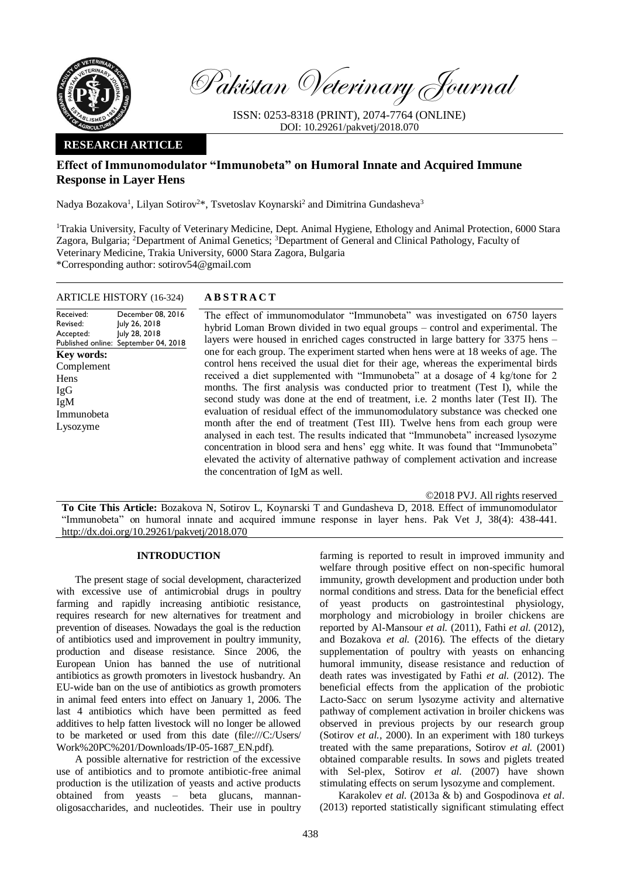

Pakistan Veterinary Journal

ISSN: 0253-8318 (PRINT), 2074-7764 (ONLINE) DOI: 10.29261/pakvetj/2018.070

# **RESEARCH ARTICLE**

# **Effect of Immunomodulator "Immunobeta" on Humoral Innate and Acquired Immune Response in Layer Hens**

Nadya Bozakova<sup>1</sup>, Lilyan Sotirov<sup>2\*</sup>, Tsvetoslav Koynarski<sup>2</sup> and Dimitrina Gundasheva<sup>3</sup>

<sup>1</sup>Trakia University, Faculty of Veterinary Medicine, Dept. Animal Hygiene, Ethology and Animal Protection, 6000 Stara Zagora, Bulgaria; <sup>2</sup>Department of Animal Genetics; <sup>3</sup>Department of General and Clinical Pathology, Faculty of Veterinary Medicine, Trakia University, 6000 Stara Zagora, Bulgaria \*Corresponding author: sotirov54@gmail.com

ARTICLE HISTORY (16-324) **A B S T R A C T**

Received: Revised: Accepted: Published online: December 08, 2016 July 26, 2018 July 28, 2018 September 04, 2018 **Key words:**  Complement Hens IgG IgM Immunobeta Lysozyme

The effect of immunomodulator "Immunobeta" was investigated on 6750 layers hybrid Loman Brown divided in two equal groups – control and experimental. The layers were housed in enriched cages constructed in large battery for 3375 hens – one for each group. The experiment started when hens were at 18 weeks of age. The control hens received the usual diet for their age, whereas the experimental birds received a diet supplemented with "Immunobeta" at a dosage of 4 kg/tone for 2 months. The first analysis was conducted prior to treatment (Test I), while the second study was done at the end of treatment, i.e. 2 months later (Test II). The evaluation of residual effect of the immunomodulatory substance was checked one month after the end of treatment (Test III). Twelve hens from each group were analysed in each test. The results indicated that "Immunobeta" increased lysozyme concentration in blood sera and hens' egg white. It was found that "Immunobeta" elevated the activity of alternative pathway of complement activation and increase the concentration of IgM as well.

©2018 PVJ. All rights reserved **To Cite This Article:** Bozakova N, Sotirov L, Koynarski T and Gundasheva D, 2018. Effect of immunomodulator "Immunobeta" on humoral innate and acquired immune response in layer hens. Pak Vet J, 38(4): 438-441. [http://dx.doi.org/10.29261/pakvetj/2018.070](http://pvj.com.pk/pdf-files/38_4/438-441.pdf) 

# **INTRODUCTION**

The present stage of social development, characterized with excessive use of antimicrobial drugs in poultry farming and rapidly increasing antibiotic resistance, requires research for new alternatives for treatment and prevention of diseases. Nowadays the goal is the reduction of antibiotics used and improvement in poultry immunity, production and disease resistance. Since 2006, the European Union has banned the use of nutritional antibiotics as growth promoters in livestock husbandry. An EU-wide ban on the use of antibiotics as growth promoters in animal feed enters into effect on January 1, 2006. The last 4 antibiotics which have been permitted as feed additives to help fatten livestock will no longer be allowed to be marketed or used from this date (file:///C:/Users/ Work%20PC%201/Downloads/IP-05-1687\_EN.pdf)*.*

A possible alternative for restriction of the excessive use of antibiotics and to promote antibiotic-free animal production is the utilization of yeasts and active products obtained from yeasts – beta glucans, mannanoligosaccharides, and nucleotides. Their use in poultry farming is reported to result in improved immunity and welfare through positive effect on non-specific humoral immunity, growth development and production under both normal conditions and stress. Data for the beneficial effect of yeast products on gastrointestinal physiology, morphology and microbiology in broiler chickens are reported by Al-Mansour *et al.* (2011), Fathi *et al*. (2012), and Bozakova *et al.* (2016). The effects of the dietary supplementation of poultry with yeasts on enhancing humoral immunity, disease resistance and reduction of death rates was investigated by Fathi *et al.* (2012). The beneficial effects from the application of the probiotic Lacto-Sacc on serum lysozyme activity and alternative pathway of complement activation in broiler chickens was observed in previous projects by our research group (Sotirov *et al.,* 2000). In an experiment with 180 turkeys treated with the same preparations, Sotirov *et al.* (2001) obtained comparable results. In sows and piglets treated with Sel-plex, Sotirov *et al.* (2007) have shown stimulating effects on serum lysozyme and complement.

Karakolev *et al.* (2013a & b) and Gospodinova *et al*. (2013) reported statistically significant stimulating effect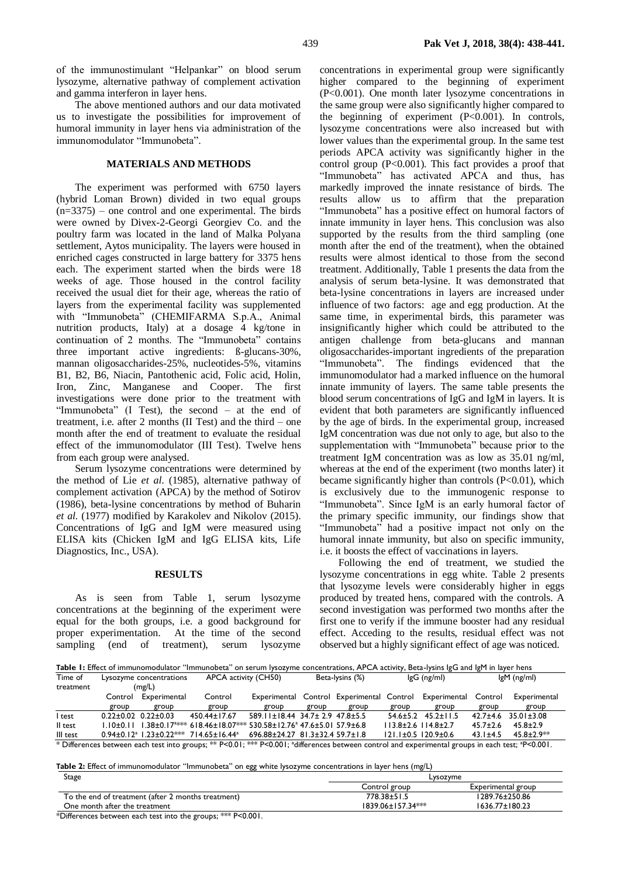of the immunostimulant "Helpankar" on blood serum lysozyme, alternative pathway of complement activation and gamma interferon in layer hens.

The above mentioned authors and our data motivated us to investigate the possibilities for improvement of humoral immunity in layer hens via administration of the immunomodulator "Immunobeta".

### **MATERIALS AND METHODS**

The experiment was performed with 6750 layers (hybrid Loman Brown) divided in two equal groups  $(n=3375)$  – one control and one experimental. The birds were owned by Divex-2-Georgi Georgiev Co. and the poultry farm was located in the land of Malka Polyana settlement, Aytos municipality. The layers were housed in enriched cages constructed in large battery for 3375 hens each. The experiment started when the birds were 18 weeks of age. Those housed in the control facility received the usual diet for their age, whereas the ratio of layers from the experimental facility was supplemented with "Immunobeta" (CHEMIFARMA S.p.A., Animal nutrition products, Italy) at a dosage 4 kg/tone in continuation of 2 months. The "Immunobeta" contains three important active ingredients: ß-glucans-30%, mannan oligosaccharides-25%, nucleotides-5%, vitamins B1, B2, B6, Niacin, Pantothenic acid, Folic acid, Holin, Iron, Zinc, Manganese and Cooper. The first investigations were done prior to the treatment with "Immunobeta" (I Test), the second – at the end of treatment, i.e. after 2 months (II Test) and the third – one month after the end of treatment to evaluate the residual effect of the immunomodulator (III Test). Twelve hens from each group were analysed.

Serum lysozyme concentrations were determined by the method of Lie *et al*. (1985), alternative pathway of complement activation (APCA) by the method of Sotirov (1986), beta-lysine concentrations by method of Buharin *et al.* (1977) modified by Karakolev and Nikolov (2015). Concentrations of IgG and IgM were measured using ELISA kits (Chicken IgM and IgG ELISA kits, Life Diagnostics, Inc., USA).

#### **RESULTS**

As is seen from Table 1, serum lysozyme concentrations at the beginning of the experiment were equal for the both groups, i.e. a good background for proper experimentation. At the time of the second sampling (end of treatment), serum lysozyme

concentrations in experimental group were significantly higher compared to the beginning of experiment (P<0.001). One month later lysozyme concentrations in the same group were also significantly higher compared to the beginning of experiment (P<0.001). In controls, lysozyme concentrations were also increased but with lower values than the experimental group. In the same test periods APCA activity was significantly higher in the control group  $(P<0.001)$ . This fact provides a proof that "Immunobeta" has activated APCA and thus, has markedly improved the innate resistance of birds. The results allow us to affirm that the preparation "Immunobeta" has a positive effect on humoral factors of innate immunity in layer hens. This conclusion was also supported by the results from the third sampling (one month after the end of the treatment), when the obtained results were almost identical to those from the second treatment. Additionally, Table 1 presents the data from the analysis of serum beta-lysine. It was demonstrated that beta-lysine concentrations in layers are increased under influence of two factors: age and egg production. At the same time, in experimental birds, this parameter was insignificantly higher which could be attributed to the antigen challenge from beta-glucans and mannan oligosaccharides-important ingredients of the preparation "Immunobeta". The findings evidenced that the immunomodulator had a marked influence on the humoral innate immunity of layers. The same table presents the blood serum concentrations of IgG and IgM in layers. It is evident that both parameters are significantly influenced by the age of birds. In the experimental group, increased IgM concentration was due not only to age, but also to the supplementation with "Immunobeta" because prior to the treatment IgM concentration was as low as 35.01 ng/ml, whereas at the end of the experiment (two months later) it became significantly higher than controls  $(P<0.01)$ , which is exclusively due to the immunogenic response to "Immunobeta". Since IgM is an early humoral factor of the primary specific immunity, our findings show that "Immunobeta" had a positive impact not only on the humoral innate immunity, but also on specific immunity, i.e. it boosts the effect of vaccinations in layers.

Following the end of treatment, we studied the lysozyme concentrations in egg white. Table 2 presents that lysozyme levels were considerably higher in eggs produced by treated hens, compared with the controls. A second investigation was performed two months after the first one to verify if the immune booster had any residual effect. Acceding to the results, residual effect was not observed but a highly significant effect of age was noticed.

Table 1: Effect of immunomodulator "Immunobeta" on serum lysozyme concentrations, APCA activity, Beta-lysins IgG and IgM in layer hens Time of treatment Lysozyme concentrations (mg/L) APCA activity (CH50) Beta-lysins (%) IgG (ng/ml) IgM (ng/ml) Control Experimental  $\frac{\text{group}}{0.22 \pm 0.02} \frac{\text{group}}{0.22 \pm 0.03}$ group Control  $\frac{\text{group}}{\text{450.44} \pm 17.67}$ Experimental Control Experimental Control Experimental Control group group group group group group Experimental group I test 0.22±0.02 0.22±0.03 450.44±17.67 589.11±18.44 34.7± 2.9 47.8±5.5 54.6±5.2 45.2±11.5 42.7±4.6 35.01±3.08 II test 1.10±0.11 1.38±0.17<sup>a\*\*\*</sup> 618.46±18.07\*\*\* 530.58±12.76<sup>a</sup> 113.8±2.6 114.8±2.7 45.7±2.6 45.8±2.9<br>121.1±0.5 120.9±0.6 43.1±4.5 45.8±2.9<sup>\*\*</sup> III test  $0.94 \pm 0.12$ <sup>a</sup> 1.23 $\pm$ 0.22\*\*\* 714.65 $\pm$ 16.44<sup>a</sup> 696.88±24.27 81.3±32.4 59.7±1.8 121.1±0.5 120.9±0.6 43.1±4.5 45.8±2.9\*\* \* Differences between each test into groups; \*\* P<0.01; \*\*\* P<0.001; <sup>a</sup>differences between control and experimental groups in each test; <sup>a</sup>P<0.001.

**Таble 2:** Effect of immunomodulator "Immunobeta" on egg white lysozyme concentrations in layer hens (mg/L)

| Stage                                              | Lysozyme                 |                      |
|----------------------------------------------------|--------------------------|----------------------|
|                                                    | Control group            | Experimental group   |
| To the end of treatment (after 2 months treatment) | 778.38±51.5              | 1289.76±250.86       |
| One month after the treatment                      | $1839.06 \pm 157.34$ *** | $1636.77 \pm 180.23$ |

\*Differences between each test into the groups; \*\*\* P<0.001.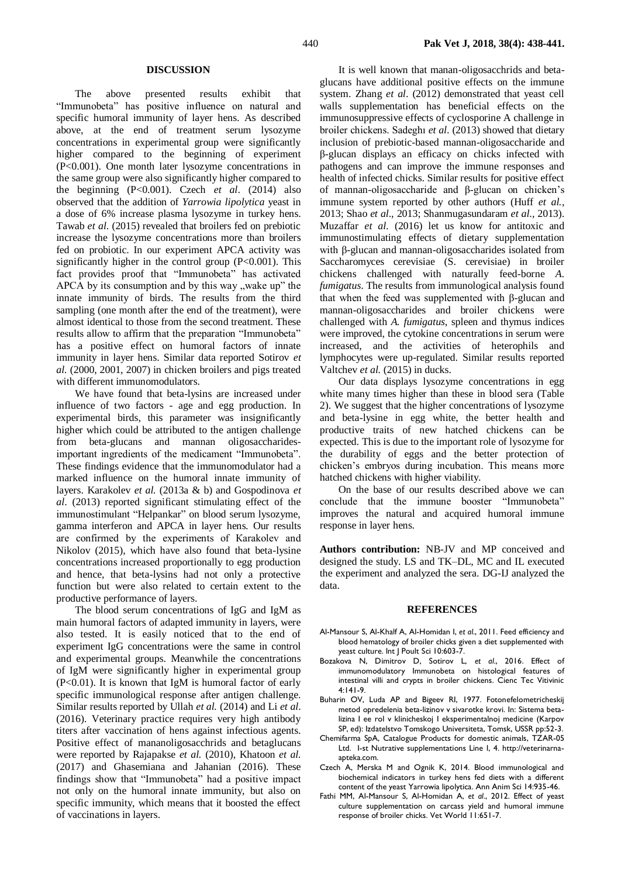#### **DISCUSSION**

The above presented results exhibit that "Immunobeta" has positive influence on natural and specific humoral immunity of layer hens. As described above, at the end of treatment serum lysozyme concentrations in experimental group were significantly higher compared to the beginning of experiment (P<0.001). One month later lysozyme concentrations in the same group were also significantly higher compared to the beginning (P<0.001). Czech *et al*. (2014) also observed that the addition of *Yarrowia lipolytica* yeast in a dose of 6% increase plasma lysozyme in turkey hens. Tawab *et al*. (2015) revealed that broilers fed on prebiotic increase the lysozyme concentrations more than broilers fed on probiotic. In our experiment APCA activity was significantly higher in the control group (P<0.001). This fact provides proof that "Immunobeta" has activated APCA by its consumption and by this way  $\mu$  wake up" the innate immunity of birds. The results from the third sampling (one month after the end of the treatment), were almost identical to those from the second treatment. These results allow to affirm that the preparation "Immunobeta" has a positive effect on humoral factors of innate immunity in layer hens. Similar data reported Sotirov *et al.* (2000, 2001, 2007) in chicken broilers and pigs treated with different immunomodulators.

We have found that beta-lysins are increased under influence of two factors - age and egg production. In experimental birds, this parameter was insignificantly higher which could be attributed to the antigen challenge from beta-glucans and mannan oligosaccharidesimportant ingredients of the medicament "Immunobeta". These findings evidence that the immunomodulator had a marked influence on the humoral innate immunity of layers. Karakolev *et al.* (2013a & b) and Gospodinova *et al*. (2013) reported significant stimulating effect of the immunostimulant "Helpankar" on blood serum lysozyme, gamma interferon and APCA in layer hens. Our results are confirmed by the experiments of Кarakolev and Nikolov (2015), which have also found that beta-lysine concentrations increased proportionally to egg production and hence, that beta-lysins had not only a protective function but were also related to certain extent to the productive performance of layers.

The blood serum concentrations of IgG and IgM as main humoral factors of adapted immunity in layers, were also tested. It is easily noticed that to the end of experiment IgG concentrations were the same in control and experimental groups. Meanwhile the concentrations of IgM were significantly higher in experimental group (P<0.01). It is known that IgM is humoral factor of early specific immunological response after antigen challenge. Similar results reported by Ullah *et al.* (2014) and Li *et al*. (2016). Veterinary practice requires very high antibody titers after vaccination of hens against infectious agents. Positive effect of mananoligosacchrids and betaglucans were reported by Rajapakse *et al.* (2010), Khatoon *et al.* (2017) and Ghasemiana and Jahanian (2016). These findings show that "Immunobeta" had a positive impact not only on the humoral innate immunity, but also on specific immunity, which means that it boosted the effect of vaccinations in layers.

It is well known that manan-oligosacchrids and betaglucans have additional positive effects on the immune system. Zhang *et al*. (2012) demonstrated that yeast cell walls supplementation has beneficial effects on the immunosuppressive effects of cyclosporine A challenge in broiler chickens. Sadeghı *et al*. (2013) showed that dietary inclusion of prebiotic-based mannan-oligosaccharide and β-glucan displays an efficacy on chicks infected with pathogens and can improve the immune responses and health of infected chicks. Similar results for positive effect of mannan-oligosaccharide and β-glucan on chicken's immune system reported by other authors (Huff *et al.*, 2013; Shao *et al*., 2013; Shanmugasundaram *et al*., 2013). Muzaffar *et al*. (2016) let us know for antitoxic and immunostimulating effects of dietary supplementation with β-glucan and mannan-oligosaccharides isolated from Saccharomyces cerevisiae (S. cerevisiae) in broiler chickens challenged with naturally feed-borne *A. fumigatus*. The results from immunological analysis found that when the feed was supplemented with β-glucan and mannan-oligosaccharides and broiler chickens were challenged with *A. fumigatus*, spleen and thymus indices were improved, the cytokine concentrations in serum were increased, and the activities of heterophils and lymphocytes were up-regulated. Similar results reported Valtchev *et al.* (2015) in ducks.

Our data displays lysozyme concentrations in egg white many times higher than these in blood sera (Table 2). We suggest that the higher concentrations of lysozyme and beta-lysine in egg white, the better health and productive traits of new hatched chickens can be expected. This is due to the important role of lysozyme for the durability of eggs and the better protection of chicken's embryos during incubation. This means more hatched chickens with higher viability.

On the base of our results described above we can conclude that the immune booster "Immunobeta" improves the natural and acquired humoral immune response in layer hens.

**Authors contribution:** NB-JV and MP conceived and designed the study. LS and TK–DL, MC and IL executed the experiment and analyzed the sera. DG-IJ analyzed the data.

#### **REFERENCES**

- Al-Mansour S, Al-Khalf A, Al-Homidan I, *et al*., 2011. Feed efficiency and blood hematology of broiler chicks given a diet supplemented with yeast culture. Int J Poult Sci 10:603-7.
- Bozakova N, Dimitrov D, Sotirov L, *et al*., 2016. Effect of immunomodulatory Immunobeta on histological features of intestinal villi and crypts in broiler chickens. Cienc Tec Vitivinic 4:141-9.
- Buharin OV, Luda AP and Bigeev RI, 1977. Fotonefelometricheskij metod opredelenia beta-lizinov v sivarotke krovi. In: Sistema betalizina I ee rol v klinicheskoj I eksperimentalnoj medicine (Karpov SP, ed): Izdatelstvo Tomskogo Universiteta, Tomsk, USSR pp:52-3.
- Chemifarma SpA, Catalogue Products for domestic animals, TZAR-05 Ltd. I-st Nutrative supplementations Line I, 4. http://veterinarnaapteka.com.
- Czech A, Merska M and Ognik K, 2014. Blood immunological and biochemical indicators in turkey hens fed diets with a different content of the yeast Yarrowia lipolytica. Ann Anim Sci 14:935-46.
- Fathi MM, Al-Mansour S, Al-Homidan A, *et al*., 2012. Effect of yeast culture supplementation on carcass yield and humoral immune response of broiler chicks. Vet World 11:651-7.